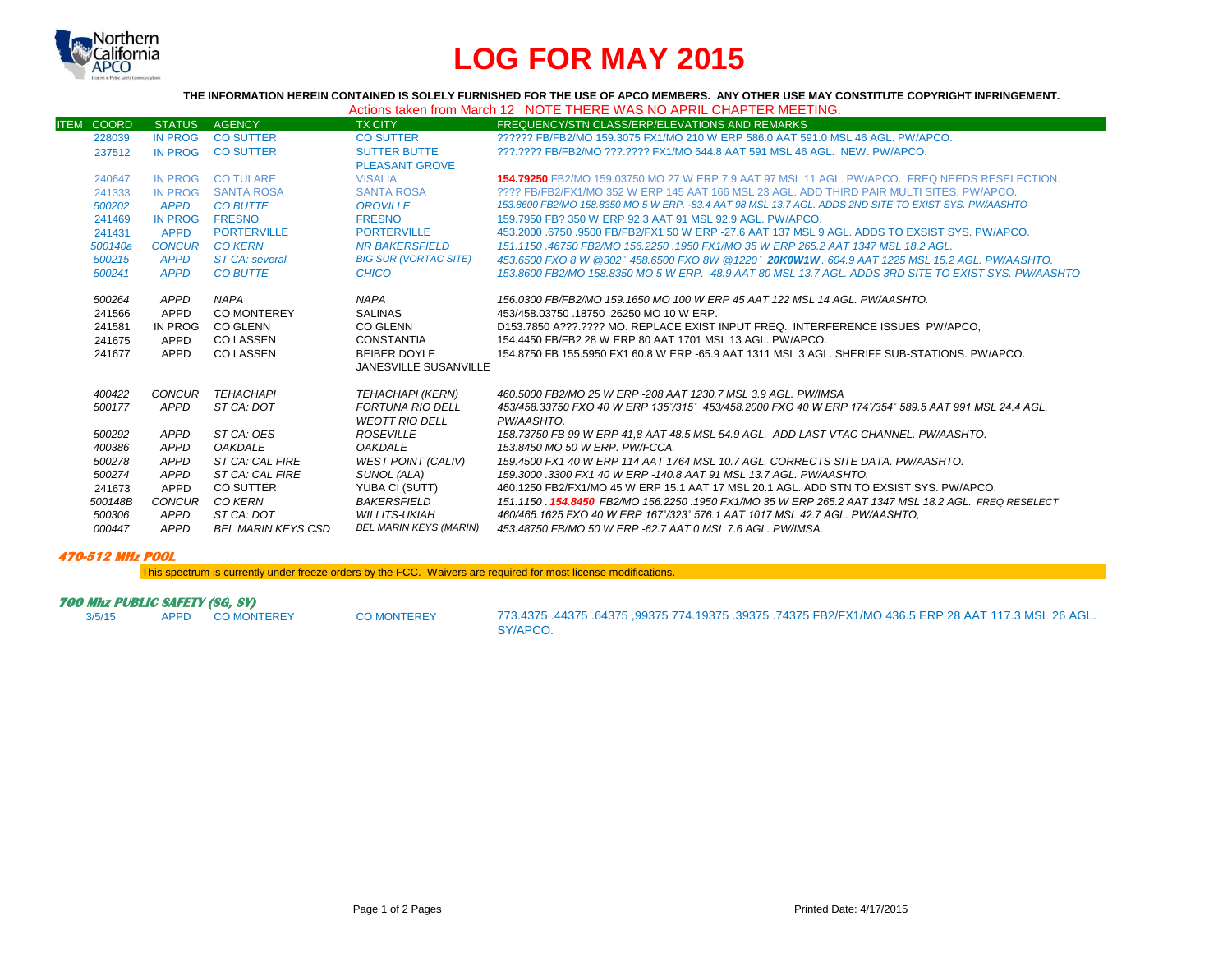

# **LOG FOR MAY 2015**

**THE INFORMATION HEREIN CONTAINED IS SOLELY FURNISHED FOR THE USE OF APCO MEMBERS. ANY OTHER USE MAY CONSTITUTE COPYRIGHT INFRINGEMENT.**

| Actions taken from March 12 NOTE THERE WAS NO APRIL CHAPTER MEETING. |  |
|----------------------------------------------------------------------|--|
|----------------------------------------------------------------------|--|

| <b>ITEM COORD</b> | <b>STATUS</b>  | <b>AGENCY</b>                     | <b>TX CITY</b>                                   | FREQUENCY/STN CLASS/ERP/ELEVATIONS AND REMARKS                                                                         |
|-------------------|----------------|-----------------------------------|--------------------------------------------------|------------------------------------------------------------------------------------------------------------------------|
| 228039            | <b>IN PROG</b> | <b>CO SUTTER</b>                  | <b>CO SUTTER</b>                                 | ?????? FB/FB2/MO 159.3075 FX1/MO 210 W ERP 586.0 AAT 591.0 MSL 46 AGL, PW/APCO.                                        |
| 237512            | <b>IN PROG</b> | <b>CO SUTTER</b>                  | <b>SUTTER BUTTE</b><br><b>PLEASANT GROVE</b>     | ???.???? FB/FB2/MO ???.???? FX1/MO 544.8 AAT 591 MSL 46 AGL. NEW. PW/APCO.                                             |
| 240647            | <b>IN PROG</b> | <b>CO TULARE</b>                  | <b>VISALIA</b>                                   | 154.79250 FB2/MO 159.03750 MO 27 W ERP 7.9 AAT 97 MSL 11 AGL. PW/APCO. FREQ NEEDS RESELECTION.                         |
| 241333            | IN PROG        | <b>SANTA ROSA</b>                 | <b>SANTA ROSA</b>                                | 2222 FB/FB2/FX1/MO 352 W ERP 145 AAT 166 MSL 23 AGL. ADD THIRD PAIR MULTI SITES, PW/APCO.                              |
| 500202            | <b>APPD</b>    | <b>CO BUTTE</b>                   | <b>OROVILLE</b>                                  | 153.8600 FB2/MO 158.8350 MO 5 W ERP. -83.4 AAT 98 MSL 13.7 AGL. ADDS 2ND SITE TO EXIST SYS. PW/AASHTO                  |
| 241469            | <b>IN PROG</b> | <b>FRESNO</b>                     | <b>FRESNO</b>                                    | 159.7950 FB? 350 W ERP 92.3 AAT 91 MSL 92.9 AGL, PW/APCO.                                                              |
| 241431            | <b>APPD</b>    | <b>PORTERVILLE</b>                | <b>PORTERVILLE</b>                               | 453,2000 6750 9500 FB/FB2/FX1 50 W ERP -27.6 AAT 137 MSL 9 AGL, ADDS TO EXSIST SYS, PW/APCO,                           |
| 500140a           |                | CONCUR CO KERN                    | <b>NR BAKERSFIELD</b>                            | 151.1150,46750 FB2/MO 156.2250,1950 FX1/MO 35 W ERP 265.2 AAT 1347 MSL 18.2 AGL.                                       |
| 500215            | <b>APPD</b>    | <b>ST CA: several</b>             | <b>BIG SUR (VORTAC SITE)</b>                     | 453.6500 FXO 8 W @302° 458.6500 FXO 8W @1220° 20K0W1W. 604.9 AAT 1225 MSL 15.2 AGL. PW/AASHTO.                         |
| 500241            | <b>APPD</b>    | <b>CO BUTTE</b>                   | CHICO                                            | 153,8600 FB2/MO 158,8350 MO 5 W ERP. -48.9 AAT 80 MSL 13.7 AGL. ADDS 3RD SITE TO EXIST SYS. PW/AASHTO                  |
| 500264<br>241566  | APPD<br>APPD   | <b>NAPA</b><br><b>CO MONTEREY</b> | <b>NAPA</b><br><b>SALINAS</b>                    | 156.0300 FB/FB2/MO 159.1650 MO 100 W ERP 45 AAT 122 MSL 14 AGL. PW/AASHTO.<br>453/458.03750 .18750 .26250 MO 10 W ERP. |
| 241581            | IN PROG        | <b>CO GLENN</b>                   | <b>CO GLENN</b>                                  | D153.7850 A???.???? MO. REPLACE EXIST INPUT FREQ. INTERFERENCE ISSUES PW/APCO.                                         |
| 241675            | APPD           | <b>CO LASSEN</b>                  | CONSTANTIA                                       | 154,4450 FB/FB2 28 W ERP 80 AAT 1701 MSL 13 AGL, PW/APCO.                                                              |
| 241677            | APPD           | CO LASSEN                         | <b>BEIBER DOYLE</b><br>JANESVILLE SUSANVILLE     | 154.8750 FB 155.5950 FX1 60.8 W ERP -65.9 AAT 1311 MSL 3 AGL. SHERIFF SUB-STATIONS. PW/APCO.                           |
| 400422            |                | CONCUR TEHACHAPI                  | TEHACHAPI (KERN)                                 | 460.5000 FB2/MO 25 W ERP -208 AAT 1230.7 MSL 3.9 AGL. PW/IMSA                                                          |
| 500177            | <b>APPD</b>    | ST CA: DOT                        | <b>FORTUNA RIO DELL</b><br><b>WEOTT RIO DELL</b> | 453/458.33750 FXO 40 W ERP 135°/315° 453/458.2000 FXO 40 W ERP 174°/354° 589.5 AAT 991 MSL 24.4 AGL.<br>PW/AASHTO.     |
| 500292            | APPD           | ST CA: OES                        | <b>ROSEVILLE</b>                                 | 158.73750 FB 99 W ERP 41.8 AAT 48.5 MSL 54.9 AGL. ADD LAST VTAC CHANNEL. PW/AASHTO.                                    |
| 400386            | APPD           | <b>OAKDALE</b>                    | <b>OAKDALE</b>                                   | 153.8450 MO 50 W ERP. PW/FCCA.                                                                                         |
| 500278            | APPD           | ST CA: CAL FIRE                   | <b>WEST POINT (CALIV)</b>                        | 159.4500 FX1 40 W ERP 114 AAT 1764 MSL 10.7 AGL. CORRECTS SITE DATA, PW/AASHTO,                                        |
| 500274            | APPD           | ST CA: CAL FIRE                   | SUNOL (ALA)                                      | 159.3000.3300 FX1 40 W ERP -140.8 AAT 91 MSL 13.7 AGL. PW/AASHTO.                                                      |
| 241673            | APPD           | <b>CO SUTTER</b>                  | YUBA CI (SUTT)                                   | 460.1250 FB2/FX1/MO 45 W ERP 15.1 AAT 17 MSL 20.1 AGL. ADD STN TO EXSIST SYS. PW/APCO.                                 |
| 500148B           | <b>CONCUR</b>  | CO KERN                           | BAKERSFIELD                                      | 151.1150 <b>154.8450 FB</b> 2/MO 156.2250 1950 FX1/MO 35 W ERP 265.2 AAT 1347 MSL 18.2 AGL. FREQ RESELECT              |
| 500306            | APPD           | ST CA: DOT                        | <b>WILLITS-UKIAH</b>                             | 460/465.1625 FXO 40 W ERP 167°/323° 576.1 AAT 1017 MSL 42.7 AGL. PW/AASHTO,                                            |
| 000447            | APPD           | BEL MARIN KEYS CSD                | <b>BEL MARIN KEYS (MARIN)</b>                    | 453.48750 FB/MO 50 W ERP -62.7 AAT 0 MSL 7.6 AGL. PW/IMSA.                                                             |

#### **470-512 MHz POOL**

This spectrum is currently under freeze orders by the FCC. Waivers are required for most license modifications.

## **700 Mhz PUBLIC SAFETY (SG, SY)**<br>3/5/15 APPD COMONTEREY

3/5/15 APPD CO MONTEREY CO MONTEREY 773.4375 .44375 .64375 ,99375 774.19375 .39375 .74375 FB2/FX1/MO 436.5 ERP 28 AAT 117.3 MSL 26 AGL. SY/APCO.